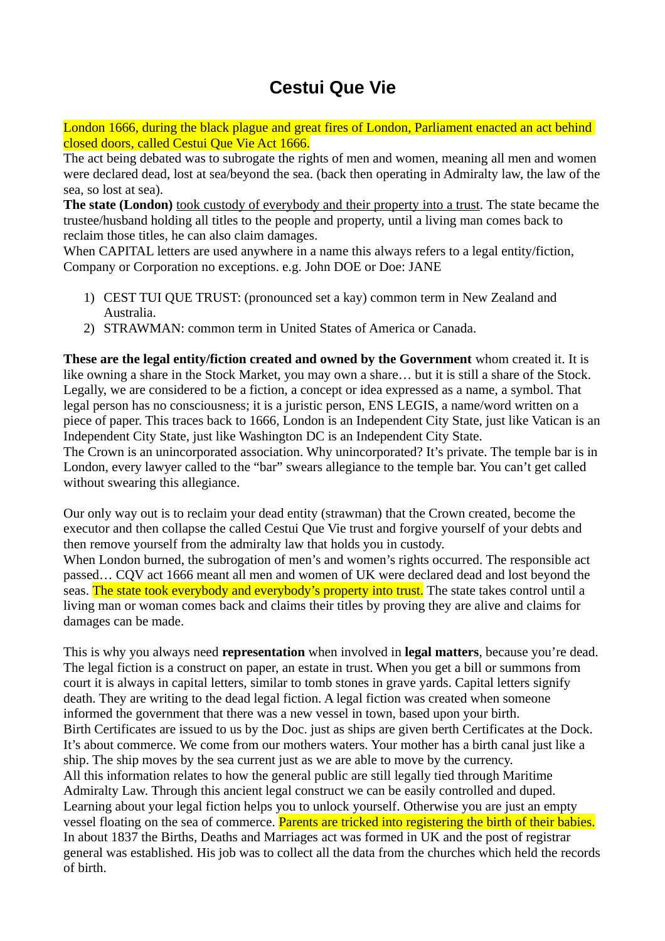## **Cestui Que Vie**

London 1666, during the black plague and great fires of London, Parliament enacted an act behind closed doors, called Cestui Que Vie Act 1666.

The act being debated was to subrogate the rights of men and women, meaning all men and women were declared dead, lost at sea/beyond the sea. (back then operating in Admiralty law, the law of the sea, so lost at sea).

**The state (London)** took custody of everybody and their property into a trust. The state became the trustee/husband holding all titles to the people and property, until a living man comes back to reclaim those titles, he can also claim damages.

When CAPITAL letters are used anywhere in a name this always refers to a legal entity/fiction, Company or Corporation no exceptions. e.g. John DOE or Doe: JANE

- 1) CEST TUI QUE TRUST: (pronounced set a kay) common term in New Zealand and Australia.
- 2) STRAWMAN: common term in United States of America or Canada.

**These are the legal entity/fiction created and owned by the Government** whom created it. It is like owning a share in the Stock Market, you may own a share… but it is still a share of the Stock. Legally, we are considered to be a fiction, a concept or idea expressed as a name, a symbol. That legal person has no consciousness; it is a juristic person, ENS LEGIS, a name/word written on a piece of paper. This traces back to 1666, London is an Independent City State, just like Vatican is an Independent City State, just like Washington DC is an Independent City State.

The Crown is an unincorporated association. Why unincorporated? It's private. The temple bar is in London, every lawyer called to the "bar" swears allegiance to the temple bar. You can't get called without swearing this allegiance.

Our only way out is to reclaim your dead entity (strawman) that the Crown created, become the executor and then collapse the called Cestui Que Vie trust and forgive yourself of your debts and then remove yourself from the admiralty law that holds you in custody. When London burned, the subrogation of men's and women's rights occurred. The responsible act passed… CQV act 1666 meant all men and women of UK were declared dead and lost beyond the seas. The state took everybody and everybody's property into trust. The state takes control until a living man or woman comes back and claims their titles by proving they are alive and claims for damages can be made.

This is why you always need **representation** when involved in **legal matters**, because you're dead. The legal fiction is a construct on paper, an estate in trust. When you get a bill or summons from court it is always in capital letters, similar to tomb stones in grave yards. Capital letters signify death. They are writing to the dead legal fiction. A legal fiction was created when someone informed the government that there was a new vessel in town, based upon your birth. Birth Certificates are issued to us by the Doc. just as ships are given berth Certificates at the Dock. It's about commerce. We come from our mothers waters. Your mother has a birth canal just like a ship. The ship moves by the sea current just as we are able to move by the currency. All this information relates to how the general public are still legally tied through Maritime Admiralty Law. Through this ancient legal construct we can be easily controlled and duped. Learning about your legal fiction helps you to unlock yourself. Otherwise you are just an empty vessel floating on the sea of commerce. Parents are tricked into registering the birth of their babies. In about 1837 the Births, Deaths and Marriages act was formed in UK and the post of registrar general was established. His job was to collect all the data from the churches which held the records of birth.